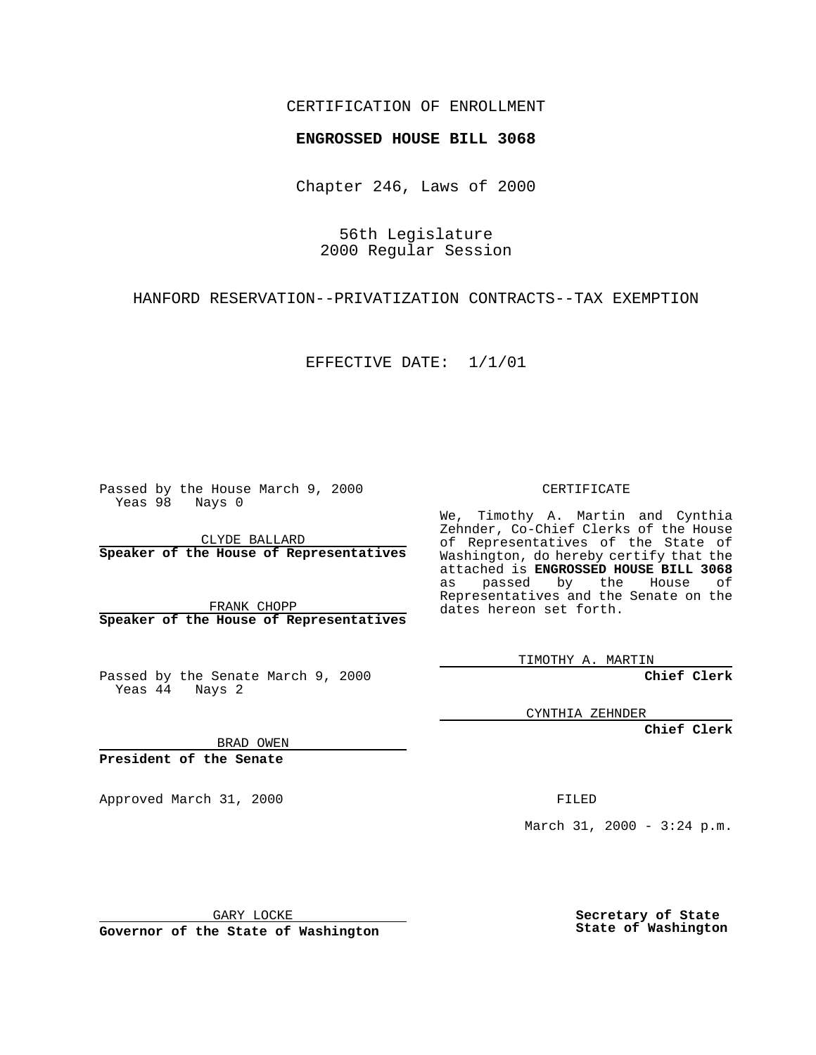## CERTIFICATION OF ENROLLMENT

## **ENGROSSED HOUSE BILL 3068**

Chapter 246, Laws of 2000

56th Legislature 2000 Regular Session

HANFORD RESERVATION--PRIVATIZATION CONTRACTS--TAX EXEMPTION

EFFECTIVE DATE: 1/1/01

Passed by the House March 9, 2000 Yeas 98 Nays 0

CLYDE BALLARD **Speaker of the House of Representatives**

FRANK CHOPP **Speaker of the House of Representatives**

Passed by the Senate March 9, 2000 Yeas 44 Nays 2

CERTIFICATE

We, Timothy A. Martin and Cynthia Zehnder, Co-Chief Clerks of the House of Representatives of the State of Washington, do hereby certify that the attached is **ENGROSSED HOUSE BILL 3068** as passed by the House of Representatives and the Senate on the dates hereon set forth.

TIMOTHY A. MARTIN

**Chief Clerk**

CYNTHIA ZEHNDER

**Chief Clerk**

BRAD OWEN

**President of the Senate**

Approved March 31, 2000 FILED

March 31, 2000 - 3:24 p.m.

GARY LOCKE

**Governor of the State of Washington**

**Secretary of State State of Washington**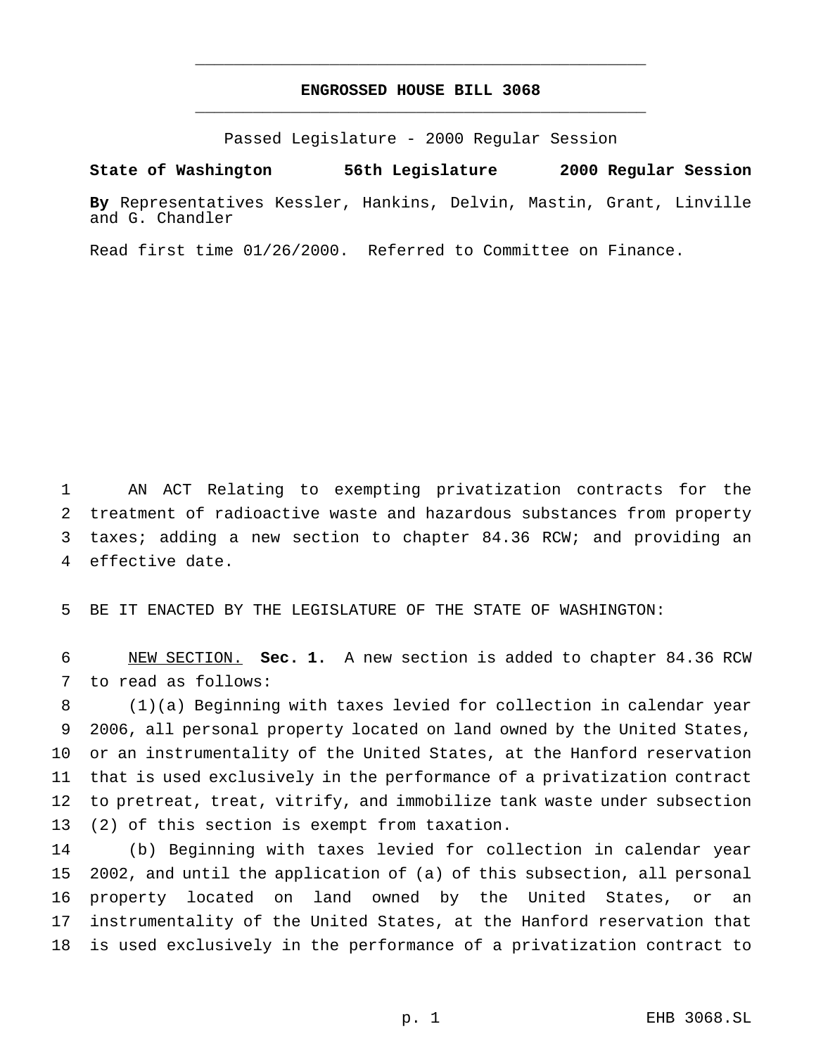## **ENGROSSED HOUSE BILL 3068** \_\_\_\_\_\_\_\_\_\_\_\_\_\_\_\_\_\_\_\_\_\_\_\_\_\_\_\_\_\_\_\_\_\_\_\_\_\_\_\_\_\_\_\_\_\_\_

\_\_\_\_\_\_\_\_\_\_\_\_\_\_\_\_\_\_\_\_\_\_\_\_\_\_\_\_\_\_\_\_\_\_\_\_\_\_\_\_\_\_\_\_\_\_\_

Passed Legislature - 2000 Regular Session

**State of Washington 56th Legislature 2000 Regular Session**

**By** Representatives Kessler, Hankins, Delvin, Mastin, Grant, Linville and G. Chandler

Read first time 01/26/2000. Referred to Committee on Finance.

 AN ACT Relating to exempting privatization contracts for the treatment of radioactive waste and hazardous substances from property 3 taxes; adding a new section to chapter 84.36 RCW; and providing an effective date.

BE IT ENACTED BY THE LEGISLATURE OF THE STATE OF WASHINGTON:

 NEW SECTION. **Sec. 1.** A new section is added to chapter 84.36 RCW to read as follows:

 (1)(a) Beginning with taxes levied for collection in calendar year 2006, all personal property located on land owned by the United States, or an instrumentality of the United States, at the Hanford reservation that is used exclusively in the performance of a privatization contract to pretreat, treat, vitrify, and immobilize tank waste under subsection (2) of this section is exempt from taxation.

 (b) Beginning with taxes levied for collection in calendar year 2002, and until the application of (a) of this subsection, all personal property located on land owned by the United States, or an instrumentality of the United States, at the Hanford reservation that is used exclusively in the performance of a privatization contract to